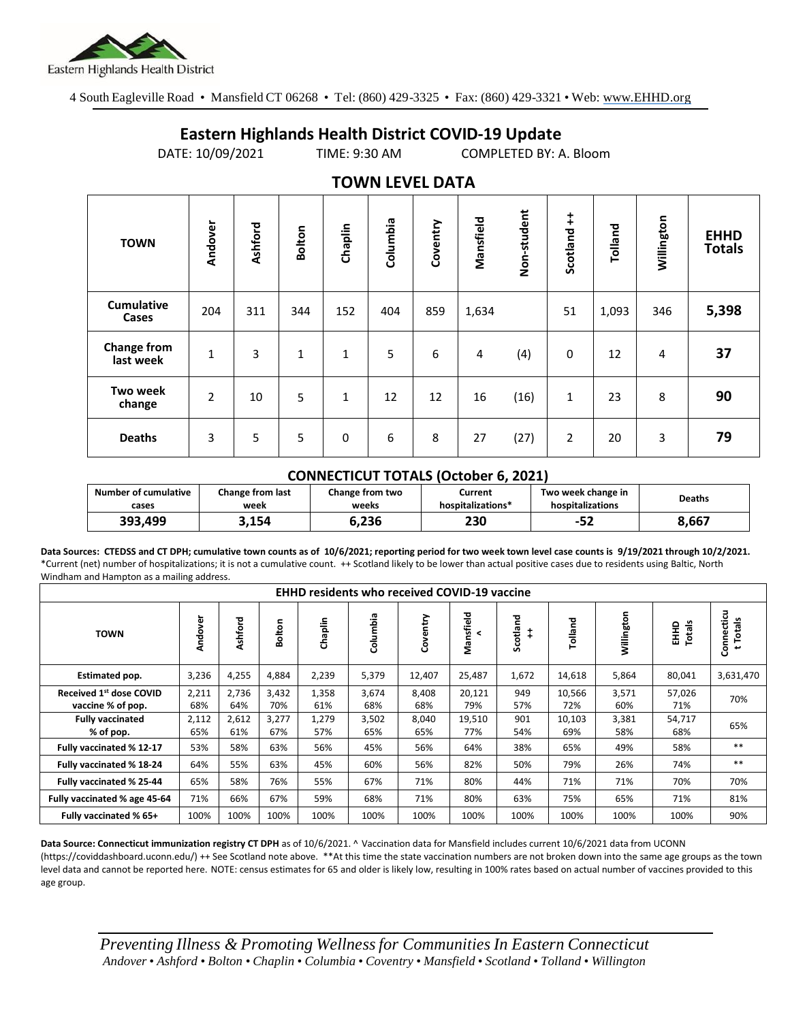

4 South Eagleville Road • Mansfield CT 06268 • Tel: (860) 429-3325 • Fax: (860) 429-3321 • Web: www.EHHD.org

## **Eastern Highlands Health District COVID-19 Update**

DATE: 10/09/2021 TIME: 9:30 AM COMPLETED BY: A. Bloom

| $19.111$ is the set of $17$     |                |         |              |         |          |          |           |             |                        |         |            |                              |
|---------------------------------|----------------|---------|--------------|---------|----------|----------|-----------|-------------|------------------------|---------|------------|------------------------------|
| <b>TOWN</b>                     | Andover        | Ashford | Bolton       | Chaplin | Columbia | Coventry | Mansfield | Non-student | $\ddagger$<br>Scotland | Tolland | Willington | <b>EHHD</b><br><b>Totals</b> |
| <b>Cumulative</b><br>Cases      | 204            | 311     | 344          | 152     | 404      | 859      | 1,634     |             | 51                     | 1,093   | 346        | 5,398                        |
| <b>Change from</b><br>last week | $\mathbf{1}$   | 3       | $\mathbf{1}$ | 1       | 5        | 6        | 4         | (4)         | 0                      | 12      | 4          | 37                           |
| Two week<br>change              | $\overline{2}$ | 10      | 5            | 1       | 12       | 12       | 16        | (16)        | $\mathbf{1}$           | 23      | 8          | 90                           |
| <b>Deaths</b>                   | 3              | 5       | 5            | 0       | 6        | 8        | 27        | (27)        | $\overline{2}$         | 20      | 3          | 79                           |

## **TOWN LEVEL DATA**

## **CONNECTICUT TOTALS (October 6, 2021)**

| <b>Number of cumulative</b> | Change from last | Change from two | Current           | Two week change in | <b>Deaths</b> |  |
|-----------------------------|------------------|-----------------|-------------------|--------------------|---------------|--|
| cases                       | week             | weeks           | hospitalizations* | hospitalizations   |               |  |
| 393.499                     | 3,154            | 6,236           | 230               | -52                | 8,667         |  |

**Data Sources: CTEDSS and CT DPH; cumulative town counts as of 10/6/2021; reporting period for two week town level case counts is 9/19/2021 through 10/2/2021.** \*Current (net) number of hospitalizations; it is not a cumulative count. ++ Scotland likely to be lower than actual positive cases due to residents using Baltic, North Windham and Hampton as a mailing address.

| <b>EHHD residents who received COVID-19 vaccine</b> |              |              |              |              |              |              |                |               |               |              |                |                        |
|-----------------------------------------------------|--------------|--------------|--------------|--------------|--------------|--------------|----------------|---------------|---------------|--------------|----------------|------------------------|
| <b>TOWN</b>                                         | Andover      | Ashford      | Bolton       | Chaplin      | Columbia     | Coventry     | Mansfield<br>< | Scotland<br>‡ | Tolland       | Willington   | EHHD<br>Totals | Connecticu<br>t Totals |
| Estimated pop.                                      | 3,236        | 4,255        | 4,884        | 2,239        | 5,379        | 12,407       | 25,487         | 1,672         | 14,618        | 5,864        | 80,041         | 3,631,470              |
| Received 1st dose COVID<br>vaccine % of pop.        | 2,211<br>68% | 2,736<br>64% | 3,432<br>70% | 1,358<br>61% | 3,674<br>68% | 8,408<br>68% | 20,121<br>79%  | 949<br>57%    | 10.566<br>72% | 3,571<br>60% | 57,026<br>71%  | 70%                    |
| <b>Fully vaccinated</b><br>% of pop.                | 2,112<br>65% | 2,612<br>61% | 3,277<br>67% | 1,279<br>57% | 3,502<br>65% | 8,040<br>65% | 19,510<br>77%  | 901<br>54%    | 10,103<br>69% | 3,381<br>58% | 54,717<br>68%  | 65%                    |
| Fully vaccinated % 12-17                            | 53%          | 58%          | 63%          | 56%          | 45%          | 56%          | 64%            | 38%           | 65%           | 49%          | 58%            | $* *$                  |
| Fully vaccinated % 18-24                            | 64%          | 55%          | 63%          | 45%          | 60%          | 56%          | 82%            | 50%           | 79%           | 26%          | 74%            | $***$                  |
| Fully vaccinated % 25-44                            | 65%          | 58%          | 76%          | 55%          | 67%          | 71%          | 80%            | 44%           | 71%           | 71%          | 70%            | 70%                    |
| Fully vaccinated % age 45-64                        | 71%          | 66%          | 67%          | 59%          | 68%          | 71%          | 80%            | 63%           | 75%           | 65%          | 71%            | 81%                    |
| Fully vaccinated % 65+                              | 100%         | 100%         | 100%         | 100%         | 100%         | 100%         | 100%           | 100%          | 100%          | 100%         | 100%           | 90%                    |

**Data Source: Connecticut immunization registry CT DPH** as of 10/6/2021. ^ Vaccination data for Mansfield includes current 10/6/2021 data from UCONN (https://coviddashboard.uconn.edu/) ++ See Scotland note above. \*\*At this time the state vaccination numbers are not broken down into the same age groups as the town level data and cannot be reported here. NOTE: census estimates for 65 and older is likely low, resulting in 100% rates based on actual number of vaccines provided to this age group.

*Preventing Illness & Promoting Wellnessfor Communities In Eastern Connecticut* Andover . Ashford . Bolton . Chaplin . Columbia . Coventry . Mansfield . Scotland . Tolland . Willington